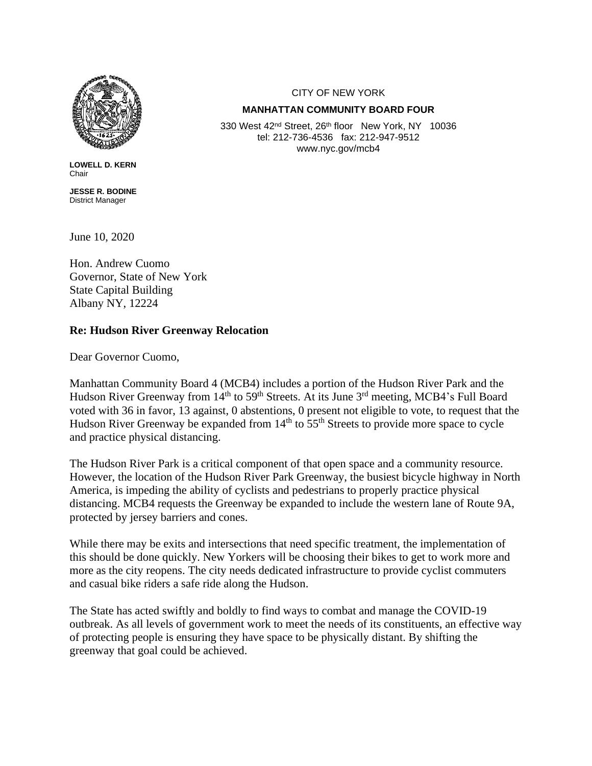

**LOWELL D. KERN Chair** 

**JESSE R. BODINE** District Manager

June 10, 2020

Hon. Andrew Cuomo Governor, State of New York State Capital Building Albany  $\overline{NY}$ , 12224

## **Re: Hudson River Greenway Relocation**

Dear Governor Cuomo,

Manhattan Community Board 4 (MCB4) includes a portion of the Hudson River Park and the Hudson River Greenway from  $14<sup>th</sup>$  to  $59<sup>th</sup>$  Streets. At its June 3<sup>rd</sup> meeting, MCB4's Full Board voted with 36 in favor, 13 against, 0 abstentions, 0 present not eligible to vote, to request that the Hudson River Greenway be expanded from  $14<sup>th</sup>$  to  $55<sup>th</sup>$  Streets to provide more space to cycle and practice physical distancing.

The Hudson River Park is a critical component of that open space and a community resource. However, the location of the Hudson River Park Greenway, the busiest bicycle highway in North America, is impeding the ability of cyclists and pedestrians to properly practice physical distancing. MCB4 requests the Greenway be expanded to include the western lane of Route 9A, protected by jersey barriers and cones.

While there may be exits and intersections that need specific treatment, the implementation of this should be done quickly. New Yorkers will be choosing their bikes to get to work more and more as the city reopens. The city needs dedicated infrastructure to provide cyclist commuters and casual bike riders a safe ride along the Hudson.

The State has acted swiftly and boldly to find ways to combat and manage the COVID-19 outbreak. As all levels of government work to meet the needs of its constituents, an effective way of protecting people is ensuring they have space to be physically distant. By shifting the greenway that goal could be achieved.

CITY OF NEW YORK

## **MANHATTAN COMMUNITY BOARD FOUR**

330 West 42<sup>nd</sup> Street, 26<sup>th</sup> floor New York, NY 10036 tel: 212-736-4536 fax: 212-947-9512 www.nyc.gov/mcb4